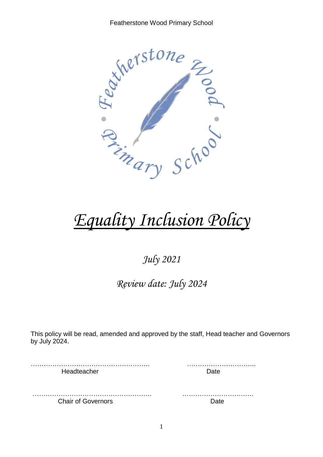

# *Equality Inclusion Policy*

# *July 2021*

# *Review date: July 2024*

This policy will be read, amended and approved by the staff, Head teacher and Governors by July 2024.

………………………………………………. ………………………….. Headteacher **Date** 

………………………………………………. …………………………… Chair of Governors **Date**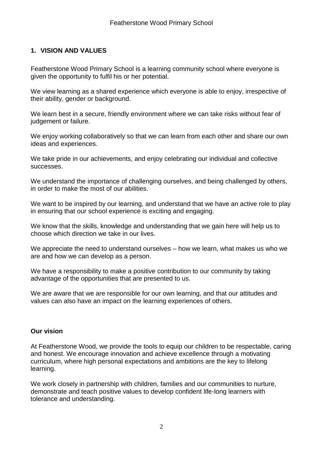# **1. VISION AND VALUES**

Featherstone Wood Primary School is a learning community school where everyone is given the opportunity to fulfil his or her potential.

We view learning as a shared experience which everyone is able to enjoy, irrespective of their ability, gender or background.

We learn best in a secure, friendly environment where we can take risks without fear of judgement or failure.

We enjoy working collaboratively so that we can learn from each other and share our own ideas and experiences.

We take pride in our achievements, and enjoy celebrating our individual and collective successes.

We understand the importance of challenging ourselves, and being challenged by others, in order to make the most of our abilities.

We want to be inspired by our learning, and understand that we have an active role to play in ensuring that our school experience is exciting and engaging.

We know that the skills, knowledge and understanding that we gain here will help us to choose which direction we take in our lives.

We appreciate the need to understand ourselves – how we learn, what makes us who we are and how we can develop as a person.

We have a responsibility to make a positive contribution to our community by taking advantage of the opportunities that are presented to us.

We are aware that we are responsible for our own learning, and that our attitudes and values can also have an impact on the learning experiences of others.

# **Our vision**

At Featherstone Wood, we provide the tools to equip our children to be respectable, caring and honest. We encourage innovation and achieve excellence through a motivating curriculum, where high personal expectations and ambitions are the key to lifelong learning.

We work closely in partnership with children, families and our communities to nurture, demonstrate and teach positive values to develop confident life-long learners with tolerance and understanding.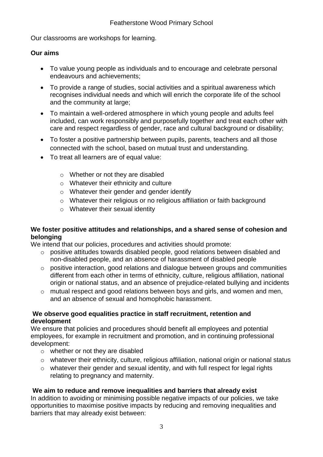Our classrooms are workshops for learning.

# **Our aims**

- To value young people as individuals and to encourage and celebrate personal endeavours and achievements;
- To provide a range of studies, social activities and a spiritual awareness which recognises individual needs and which will enrich the corporate life of the school and the community at large;
- To maintain a well-ordered atmosphere in which young people and adults feel included, can work responsibly and purposefully together and treat each other with care and respect regardless of gender, race and cultural background or disability;
- To foster a positive partnership between pupils, parents, teachers and all those connected with the school, based on mutual trust and understanding.
- To treat all learners are of equal value:
	- o Whether or not they are disabled
	- o Whatever their ethnicity and culture
	- o Whatever their gender and gender identify
	- o Whatever their religious or no religious affiliation or faith background
	- o Whatever their sexual identity

# **We foster positive attitudes and relationships, and a shared sense of cohesion and belonging**

We intend that our policies, procedures and activities should promote:

- o positive attitudes towards disabled people, good relations between disabled and non-disabled people, and an absence of harassment of disabled people
- o positive interaction, good relations and dialogue between groups and communities different from each other in terms of ethnicity, culture, religious affiliation, national origin or national status, and an absence of prejudice-related bullying and incidents
- o mutual respect and good relations between boys and girls, and women and men, and an absence of sexual and homophobic harassment.

# **We observe good equalities practice in staff recruitment, retention and development**

We ensure that policies and procedures should benefit all employees and potential employees, for example in recruitment and promotion, and in continuing professional development:

- o whether or not they are disabled
- o whatever their ethnicity, culture, religious affiliation, national origin or national status
- $\circ$  whatever their gender and sexual identity, and with full respect for legal rights relating to pregnancy and maternity.

# **We aim to reduce and remove inequalities and barriers that already exist**

In addition to avoiding or minimising possible negative impacts of our policies, we take opportunities to maximise positive impacts by reducing and removing inequalities and barriers that may already exist between: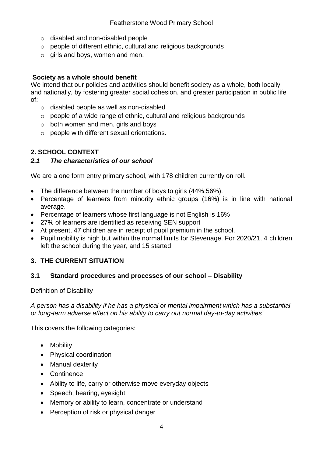- o disabled and non-disabled people
- o people of different ethnic, cultural and religious backgrounds
- $\circ$  girls and boys, women and men.

#### **Society as a whole should benefit**

We intend that our policies and activities should benefit society as a whole, both locally and nationally, by fostering greater social cohesion, and greater participation in public life of:

- o disabled people as well as non-disabled
- o people of a wide range of ethnic, cultural and religious backgrounds
- $\circ$  both women and men, girls and boys
- o people with different sexual orientations.

# **2. SCHOOL CONTEXT**

#### *2.1 The characteristics of our school*

We are a one form entry primary school, with 178 children currently on roll.

- The difference between the number of boys to girls (44%:56%).
- Percentage of learners from minority ethnic groups (16%) is in line with national average.
- Percentage of learners whose first language is not English is 16%
- 27% of learners are identified as receiving SEN support
- At present, 47 children are in receipt of pupil premium in the school.
- Pupil mobility is high but within the normal limits for Stevenage. For 2020/21, 4 children left the school during the year, and 15 started.

# **3. THE CURRENT SITUATION**

#### **3.1 Standard procedures and processes of our school – Disability**

Definition of Disability

*A person has a disability if he has a physical or mental impairment which has a substantial or long-term adverse effect on his ability to carry out normal day-to-day activities"* 

This covers the following categories:

- Mobility
- Physical coordination
- Manual dexterity
- Continence
- Ability to life, carry or otherwise move everyday objects
- Speech, hearing, eyesight
- Memory or ability to learn, concentrate or understand
- Perception of risk or physical danger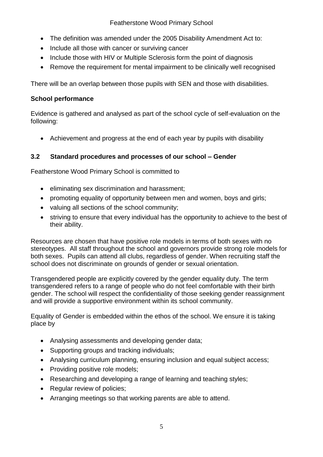# Featherstone Wood Primary School

- The definition was amended under the 2005 Disability Amendment Act to:
- Include all those with cancer or surviving cancer
- Include those with HIV or Multiple Sclerosis form the point of diagnosis
- Remove the requirement for mental impairment to be clinically well recognised

There will be an overlap between those pupils with SEN and those with disabilities.

# **School performance**

Evidence is gathered and analysed as part of the school cycle of self-evaluation on the following:

Achievement and progress at the end of each year by pupils with disability

# **3.2 Standard procedures and processes of our school – Gender**

Featherstone Wood Primary School is committed to

- eliminating sex discrimination and harassment;
- promoting equality of opportunity between men and women, boys and girls;
- valuing all sections of the school community;
- striving to ensure that every individual has the opportunity to achieve to the best of their ability.

Resources are chosen that have positive role models in terms of both sexes with no stereotypes. All staff throughout the school and governors provide strong role models for both sexes. Pupils can attend all clubs, regardless of gender. When recruiting staff the school does not discriminate on grounds of gender or sexual orientation.

Transgendered people are explicitly covered by the gender equality duty. The term transgendered refers to a range of people who do not feel comfortable with their birth gender. The school will respect the confidentiality of those seeking gender reassignment and will provide a supportive environment within its school community.

Equality of Gender is embedded within the ethos of the school. We ensure it is taking place by

- Analysing assessments and developing gender data;
- Supporting groups and tracking individuals:
- Analysing curriculum planning, ensuring inclusion and equal subject access;
- Providing positive role models;
- Researching and developing a range of learning and teaching styles;
- Regular review of policies;
- Arranging meetings so that working parents are able to attend.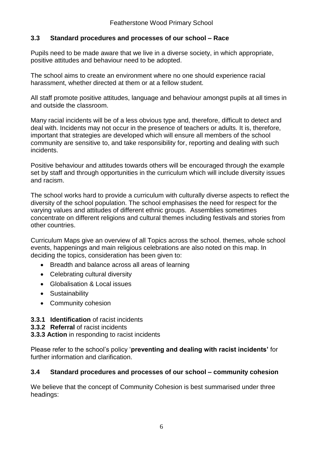# **3.3 Standard procedures and processes of our school – Race**

Pupils need to be made aware that we live in a diverse society, in which appropriate, positive attitudes and behaviour need to be adopted.

The school aims to create an environment where no one should experience racial harassment, whether directed at them or at a fellow student.

All staff promote positive attitudes, language and behaviour amongst pupils at all times in and outside the classroom.

Many racial incidents will be of a less obvious type and, therefore, difficult to detect and deal with. Incidents may not occur in the presence of teachers or adults. It is, therefore, important that strategies are developed which will ensure all members of the school community are sensitive to, and take responsibility for, reporting and dealing with such incidents.

Positive behaviour and attitudes towards others will be encouraged through the example set by staff and through opportunities in the curriculum which will include diversity issues and racism.

The school works hard to provide a curriculum with culturally diverse aspects to reflect the diversity of the school population. The school emphasises the need for respect for the varying values and attitudes of different ethnic groups. Assemblies sometimes concentrate on different religions and cultural themes including festivals and stories from other countries.

Curriculum Maps give an overview of all Topics across the school. themes, whole school events, happenings and main religious celebrations are also noted on this map. In deciding the topics, consideration has been given to:

- Breadth and balance across all areas of learning
- Celebrating cultural diversity
- Globalisation & Local issues
- Sustainability
- Community cohesion
- **3.3.1 Identification** of racist incidents
- **3.3.2 Referral** of racist incidents
- **3.3.3 Action** in responding to racist incidents

Please refer to the school's policy '**preventing and dealing with racist incidents'** for further information and clarification.

#### **3.4 Standard procedures and processes of our school – community cohesion**

We believe that the concept of Community Cohesion is best summarised under three headings: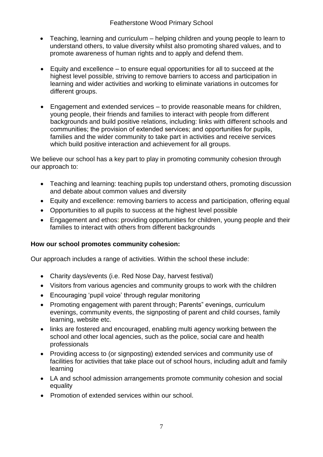- Teaching, learning and curriculum helping children and young people to learn to understand others, to value diversity whilst also promoting shared values, and to promote awareness of human rights and to apply and defend them.
- Equity and excellence to ensure equal opportunities for all to succeed at the highest level possible, striving to remove barriers to access and participation in learning and wider activities and working to eliminate variations in outcomes for different groups.
- Engagement and extended services to provide reasonable means for children, young people, their friends and families to interact with people from different backgrounds and build positive relations, including: links with different schools and communities; the provision of extended services; and opportunities for pupils, families and the wider community to take part in activities and receive services which build positive interaction and achievement for all groups.

We believe our school has a key part to play in promoting community cohesion through our approach to:

- Teaching and learning: teaching pupils top understand others, promoting discussion and debate about common values and diversity
- Equity and excellence: removing barriers to access and participation, offering equal
- Opportunities to all pupils to success at the highest level possible
- Engagement and ethos: providing opportunities for children, young people and their families to interact with others from different backgrounds

# **How our school promotes community cohesion:**

Our approach includes a range of activities. Within the school these include:

- Charity days/events (i.e. Red Nose Day, harvest festival)
- Visitors from various agencies and community groups to work with the children
- Encouraging 'pupil voice' through regular monitoring
- Promoting engagement with parent through; Parents" evenings, curriculum evenings, community events, the signposting of parent and child courses, family learning, website etc.
- links are fostered and encouraged, enabling multi agency working between the school and other local agencies, such as the police, social care and health professionals
- Providing access to (or signposting) extended services and community use of facilities for activities that take place out of school hours, including adult and family learning
- LA and school admission arrangements promote community cohesion and social equality
- Promotion of extended services within our school.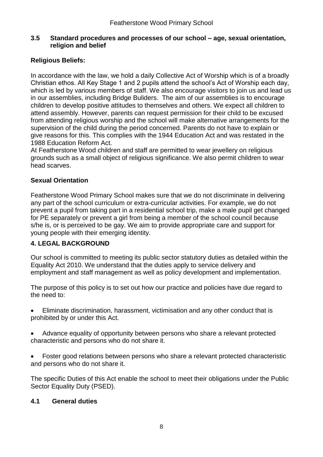#### **3.5 Standard procedures and processes of our school – age, sexual orientation, religion and belief**

# **Religious Beliefs:**

In accordance with the law, we hold a daily Collective Act of Worship which is of a broadly Christian ethos. All Key Stage 1 and 2 pupils attend the school's Act of Worship each day, which is led by various members of staff. We also encourage visitors to join us and lead us in our assemblies, including Bridge Buliders. The aim of our assemblies is to encourage children to develop positive attitudes to themselves and others. We expect all children to attend assembly. However, parents can request permission for their child to be excused from attending religious worship and the school will make alternative arrangements for the supervision of the child during the period concerned. Parents do not have to explain or give reasons for this. This complies with the 1944 Education Act and was restated in the 1988 Education Reform Act.

At Featherstone Wood children and staff are permitted to wear jewellery on religious grounds such as a small object of religious significance. We also permit children to wear head scarves.

# **Sexual Orientation**

Featherstone Wood Primary School makes sure that we do not discriminate in delivering any part of the school curriculum or extra-curricular activities. For example, we do not prevent a pupil from taking part in a residential school trip, make a male pupil get changed for PE separately or prevent a girl from being a member of the school council because s/he is, or is perceived to be gay. We aim to provide appropriate care and support for young people with their emerging identity.

# **4. LEGAL BACKGROUND**

Our school is committed to meeting its public sector statutory duties as detailed within the Equality Act 2010. We understand that the duties apply to service delivery and employment and staff management as well as policy development and implementation.

The purpose of this policy is to set out how our practice and policies have due regard to the need to:

- Eliminate discrimination, harassment, victimisation and any other conduct that is prohibited by or under this Act.
- Advance equality of opportunity between persons who share a relevant protected characteristic and persons who do not share it.
- Foster good relations between persons who share a relevant protected characteristic and persons who do not share it.

The specific Duties of this Act enable the school to meet their obligations under the Public Sector Equality Duty (PSED).

# **4.1 General duties**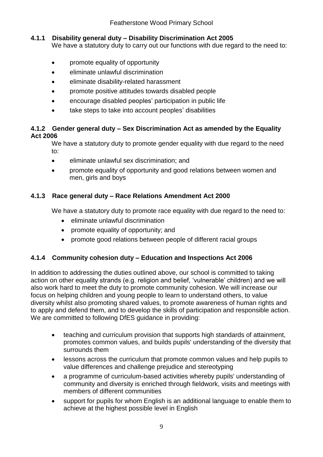# **4.1.1 Disability general duty – Disability Discrimination Act 2005**

We have a statutory duty to carry out our functions with due regard to the need to:

- promote equality of opportunity
- eliminate unlawful discrimination
- eliminate disability-related harassment
- promote positive attitudes towards disabled people
- encourage disabled peoples' participation in public life
- take steps to take into account peoples' disabilities

# **4.1.2 Gender general duty – Sex Discrimination Act as amended by the Equality Act 2006**

We have a statutory duty to promote gender equality with due regard to the need to:

- eliminate unlawful sex discrimination; and
- promote equality of opportunity and good relations between women and men, girls and boys

# **4.1.3 Race general duty – Race Relations Amendment Act 2000**

We have a statutory duty to promote race equality with due regard to the need to:

- eliminate unlawful discrimination
- promote equality of opportunity; and
- promote good relations between people of different racial groups

# **4.1.4 Community cohesion duty – Education and Inspections Act 2006**

In addition to addressing the duties outlined above, our school is committed to taking action on other equality strands (e.g. religion and belief, 'vulnerable' children) and we will also work hard to meet the duty to promote community cohesion. We will increase our focus on helping children and young people to learn to understand others, to value diversity whilst also promoting shared values, to promote awareness of human rights and to apply and defend them, and to develop the skills of participation and responsible action. We are committed to following DfES guidance in providing:

- teaching and curriculum provision that supports high standards of attainment, promotes common values, and builds pupils' understanding of the diversity that surrounds them
- lessons across the curriculum that promote common values and help pupils to value differences and challenge prejudice and stereotyping
- a programme of curriculum-based activities whereby pupils' understanding of community and diversity is enriched through fieldwork, visits and meetings with members of different communities
- support for pupils for whom English is an additional language to enable them to achieve at the highest possible level in English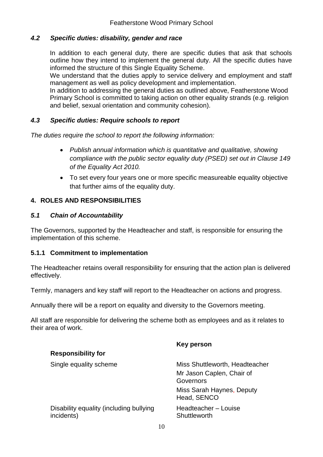# *4.2 Specific duties: disability, gender and race*

In addition to each general duty, there are specific duties that ask that schools outline how they intend to implement the general duty. All the specific duties have informed the structure of this Single Equality Scheme.

We understand that the duties apply to service delivery and employment and staff management as well as policy development and implementation.

In addition to addressing the general duties as outlined above, Featherstone Wood Primary School is committed to taking action on other equality strands (e.g. religion and belief, sexual orientation and community cohesion).

# *4.3 Specific duties: Require schools to report*

*The duties require the school to report the following information:*

- *Publish annual information which is quantitative and qualitative, showing compliance with the public sector equality duty (PSED) set out in Clause 149 of the Equality Act 2010.*
- To set every four years one or more specific measureable equality objective that further aims of the equality duty.

# **4. ROLES AND RESPONSIBILITIES**

# *5.1 Chain of Accountability*

The Governors, supported by the Headteacher and staff, is responsible for ensuring the implementation of this scheme.

# **5.1.1 Commitment to implementation**

The Headteacher retains overall responsibility for ensuring that the action plan is delivered effectively.

Termly, managers and key staff will report to the Headteacher on actions and progress.

Annually there will be a report on equality and diversity to the Governors meeting.

All staff are responsible for delivering the scheme both as employees and as it relates to their area of work.

| Key person                               |
|------------------------------------------|
|                                          |
| Miss Shuttleworth, Headteacher           |
| Mr Jason Caplen, Chair of<br>Governors   |
| Miss Sarah Haynes, Deputy<br>Head, SENCO |
| Headteacher – Louise<br>Shuttleworth     |
|                                          |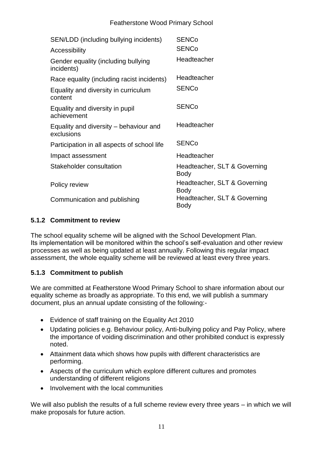#### Featherstone Wood Primary School

| SEN/LDD (including bullying incidents)               | <b>SENCo</b>                                |
|------------------------------------------------------|---------------------------------------------|
| Accessibility                                        | <b>SENCo</b>                                |
| Gender equality (including bullying<br>incidents)    | Headteacher                                 |
| Race equality (including racist incidents)           | Headteacher                                 |
| Equality and diversity in curriculum<br>content      | <b>SENCo</b>                                |
| Equality and diversity in pupil<br>achievement       | <b>SENCo</b>                                |
| Equality and diversity – behaviour and<br>exclusions | Headteacher                                 |
| Participation in all aspects of school life          | <b>SENCo</b>                                |
| Impact assessment                                    | Headteacher                                 |
| Stakeholder consultation                             | Headteacher, SLT & Governing<br><b>Body</b> |
| Policy review                                        | Headteacher, SLT & Governing<br><b>Body</b> |
| Communication and publishing                         | Headteacher, SLT & Governing<br>Body        |

# **5.1.2 Commitment to review**

The school equality scheme will be aligned with the School Development Plan. Its implementation will be monitored within the school's self-evaluation and other review processes as well as being updated at least annually. Following this regular impact assessment, the whole equality scheme will be reviewed at least every three years.

# **5.1.3 Commitment to publish**

We are committed at Featherstone Wood Primary School to share information about our equality scheme as broadly as appropriate. To this end, we will publish a summary document, plus an annual update consisting of the following:-

- Evidence of staff training on the Equality Act 2010
- Updating policies e.g. Behaviour policy, Anti-bullying policy and Pay Policy, where the importance of voiding discrimination and other prohibited conduct is expressly noted.
- Attainment data which shows how pupils with different characteristics are performing.
- Aspects of the curriculum which explore different cultures and promotes understanding of different religions
- Involvement with the local communities

We will also publish the results of a full scheme review every three years – in which we will make proposals for future action.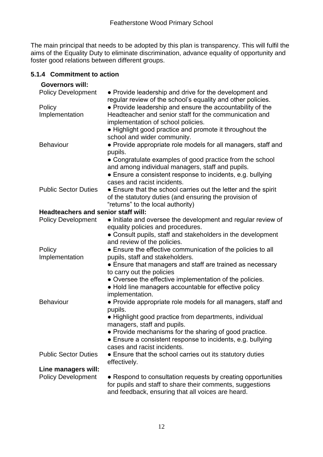The main principal that needs to be adopted by this plan is transparency. This will fulfil the aims of the Equality Duty to eliminate discrimination, advance equality of opportunity and foster good relations between different groups.

#### **5.1.4 Commitment to action**

| <b>Governors will:</b>                     |                                                                |  |  |
|--------------------------------------------|----------------------------------------------------------------|--|--|
| <b>Policy Development</b>                  | • Provide leadership and drive for the development and         |  |  |
|                                            | regular review of the school's equality and other policies.    |  |  |
| Policy                                     | • Provide leadership and ensure the accountability of the      |  |  |
| Implementation                             | Headteacher and senior staff for the communication and         |  |  |
|                                            | implementation of school policies.                             |  |  |
|                                            | • Highlight good practice and promote it throughout the        |  |  |
|                                            | school and wider community.                                    |  |  |
| <b>Behaviour</b>                           | • Provide appropriate role models for all managers, staff and  |  |  |
|                                            | pupils.                                                        |  |  |
|                                            | • Congratulate examples of good practice from the school       |  |  |
|                                            | and among individual managers, staff and pupils.               |  |  |
|                                            | • Ensure a consistent response to incidents, e.g. bullying     |  |  |
|                                            | cases and racist incidents.                                    |  |  |
| <b>Public Sector Duties</b>                | • Ensure that the school carries out the letter and the spirit |  |  |
|                                            | of the statutory duties (and ensuring the provision of         |  |  |
|                                            | "returns" to the local authority)                              |  |  |
| <b>Headteachers and senior staff will:</b> |                                                                |  |  |
| <b>Policy Development</b>                  | • Initiate and oversee the development and regular review of   |  |  |
|                                            | equality policies and procedures.                              |  |  |
|                                            | • Consult pupils, staff and stakeholders in the development    |  |  |
|                                            | and review of the policies.                                    |  |  |
| Policy                                     | • Ensure the effective communication of the policies to all    |  |  |
| Implementation                             | pupils, staff and stakeholders.                                |  |  |
|                                            | • Ensure that managers and staff are trained as necessary      |  |  |
|                                            | to carry out the policies                                      |  |  |
|                                            | • Oversee the effective implementation of the policies.        |  |  |
|                                            | • Hold line managers accountable for effective policy          |  |  |
|                                            | implementation.                                                |  |  |
| <b>Behaviour</b>                           | • Provide appropriate role models for all managers, staff and  |  |  |
|                                            | pupils.                                                        |  |  |
|                                            | • Highlight good practice from departments, individual         |  |  |
|                                            | managers, staff and pupils.                                    |  |  |
|                                            | • Provide mechanisms for the sharing of good practice.         |  |  |
|                                            | • Ensure a consistent response to incidents, e.g. bullying     |  |  |
|                                            | cases and racist incidents.                                    |  |  |
| <b>Public Sector Duties</b>                | • Ensure that the school carries out its statutory duties      |  |  |
|                                            | effectively.                                                   |  |  |
| Line managers will:                        |                                                                |  |  |
| <b>Policy Development</b>                  | • Respond to consultation requests by creating opportunities   |  |  |
|                                            | for pupils and staff to share their comments, suggestions      |  |  |
|                                            | and feedback, ensuring that all voices are heard.              |  |  |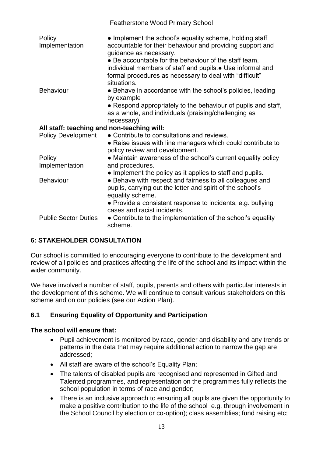|                                            | <b>Featherstone Wood Primary School</b>                                                                                                                                                                                                                                                                                          |  |  |
|--------------------------------------------|----------------------------------------------------------------------------------------------------------------------------------------------------------------------------------------------------------------------------------------------------------------------------------------------------------------------------------|--|--|
| Policy<br>Implementation                   | • Implement the school's equality scheme, holding staff<br>accountable for their behaviour and providing support and<br>guidance as necessary.<br>• Be accountable for the behaviour of the staff team,<br>individual members of staff and pupils. • Use informal and<br>formal procedures as necessary to deal with "difficult" |  |  |
|                                            | situations.                                                                                                                                                                                                                                                                                                                      |  |  |
| <b>Behaviour</b>                           | • Behave in accordance with the school's policies, leading<br>by example                                                                                                                                                                                                                                                         |  |  |
|                                            | • Respond appropriately to the behaviour of pupils and staff,<br>as a whole, and individuals (praising/challenging as<br>necessary)                                                                                                                                                                                              |  |  |
| All staff: teaching and non-teaching will: |                                                                                                                                                                                                                                                                                                                                  |  |  |
| <b>Policy Development</b>                  | • Contribute to consultations and reviews.                                                                                                                                                                                                                                                                                       |  |  |
|                                            | • Raise issues with line managers which could contribute to<br>policy review and development.                                                                                                                                                                                                                                    |  |  |
| Policy                                     | • Maintain awareness of the school's current equality policy                                                                                                                                                                                                                                                                     |  |  |
| Implementation                             | and procedures.                                                                                                                                                                                                                                                                                                                  |  |  |
| <b>Behaviour</b>                           | • Implement the policy as it applies to staff and pupils.<br>• Behave with respect and fairness to all colleagues and<br>pupils, carrying out the letter and spirit of the school's<br>equality scheme.                                                                                                                          |  |  |
|                                            | • Provide a consistent response to incidents, e.g. bullying<br>cases and racist incidents.                                                                                                                                                                                                                                       |  |  |
| <b>Public Sector Duties</b>                | • Contribute to the implementation of the school's equality<br>scheme.                                                                                                                                                                                                                                                           |  |  |

# **6: STAKEHOLDER CONSULTATION**

Our school is committed to encouraging everyone to contribute to the development and review of all policies and practices affecting the life of the school and its impact within the wider community.

We have involved a number of staff, pupils, parents and others with particular interests in the development of this scheme. We will continue to consult various stakeholders on this scheme and on our policies (see our Action Plan).

# **6.1 Ensuring Equality of Opportunity and Participation**

#### **The school will ensure that:**

- Pupil achievement is monitored by race, gender and disability and any trends or patterns in the data that may require additional action to narrow the gap are addressed;
- All staff are aware of the school's Equality Plan;
- The talents of disabled pupils are recognised and represented in Gifted and Talented programmes, and representation on the programmes fully reflects the school population in terms of race and gender;
- There is an inclusive approach to ensuring all pupils are given the opportunity to make a positive contribution to the life of the school e.g. through involvement in the School Council by election or co-option); class assemblies; fund raising etc;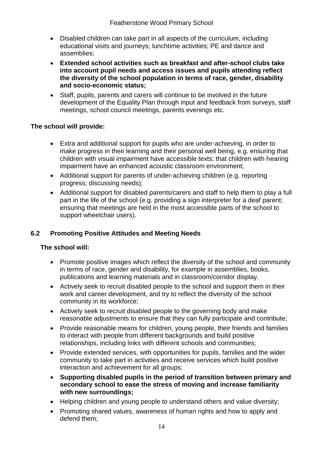- Disabled children can take part in all aspects of the curriculum, including educational visits and journeys; lunchtime activities; PE and dance and assemblies;
- **Extended school activities such as breakfast and after-school clubs take into account pupil needs and access issues and pupils attending reflect the diversity of the school population in terms of race, gender, disability and socio-economic status;**
- Staff, pupils, parents and carers will continue to be involved in the future development of the Equality Plan through input and feedback from surveys, staff meetings, school council meetings, parents evenings etc.

# **The school will provide:**

- Extra and additional support for pupils who are under-achieving, in order to make progress in their learning and their personal well being, e.g. ensuring that children with visual impairment have accessible texts; that children with hearing impairment have an enhanced acoustic classroom environment;
- Additional support for parents of under-achieving children (e.g. reporting progress; discussing needs);
- Additional support for disabled parents/carers and staff to help them to play a full part in the life of the school (e.g. providing a sign interpreter for a deaf parent; ensuring that meetings are held in the most accessible parts of the school to support wheelchair users).

# **6.2 Promoting Positive Attitudes and Meeting Needs**

# **The school will:**

- Promote positive images which reflect the diversity of the school and community in terms of race, gender and disability, for example in assemblies, books, publications and learning materials and in classroom/corridor display.
- Actively seek to recruit disabled people to the school and support them in their work and career development, and try to reflect the diversity of the school community in its workforce;
- Actively seek to recruit disabled people to the governing body and make reasonable adjustments to ensure that they can fully participate and contribute;
- Provide reasonable means for children, young people, their friends and families to interact with people from different backgrounds and build positive relationships, including links with different schools and communities;
- Provide extended services, with opportunities for pupils, families and the wider community to take part in activities and receive services which build positive interaction and achievement for all groups;
- **Supporting disabled pupils in the period of transition between primary and secondary school to ease the stress of moving and increase familiarity with new surroundings;**
- Helping children and young people to understand others and value diversity;
- Promoting shared values, awareness of human rights and how to apply and defend them;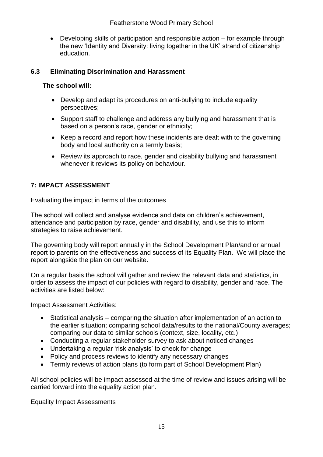Developing skills of participation and responsible action – for example through the new 'Identity and Diversity: living together in the UK' strand of citizenship education.

# **6.3 Eliminating Discrimination and Harassment**

# **The school will:**

- Develop and adapt its procedures on anti-bullying to include equality perspectives;
- Support staff to challenge and address any bullying and harassment that is based on a person's race, gender or ethnicity;
- Keep a record and report how these incidents are dealt with to the governing body and local authority on a termly basis;
- Review its approach to race, gender and disability bullying and harassment whenever it reviews its policy on behaviour.

# **7: IMPACT ASSESSMENT**

Evaluating the impact in terms of the outcomes

The school will collect and analyse evidence and data on children's achievement, attendance and participation by race, gender and disability, and use this to inform strategies to raise achievement.

The governing body will report annually in the School Development Plan/and or annual report to parents on the effectiveness and success of its Equality Plan. We will place the report alongside the plan on our website.

On a regular basis the school will gather and review the relevant data and statistics, in order to assess the impact of our policies with regard to disability, gender and race. The activities are listed below:

Impact Assessment Activities:

- Statistical analysis comparing the situation after implementation of an action to the earlier situation; comparing school data/results to the national/County averages; comparing our data to similar schools (context, size, locality, etc.)
- Conducting a regular stakeholder survey to ask about noticed changes
- Undertaking a regular 'risk analysis' to check for change
- Policy and process reviews to identify any necessary changes
- Termly reviews of action plans (to form part of School Development Plan)

All school policies will be impact assessed at the time of review and issues arising will be carried forward into the equality action plan.

Equality Impact Assessments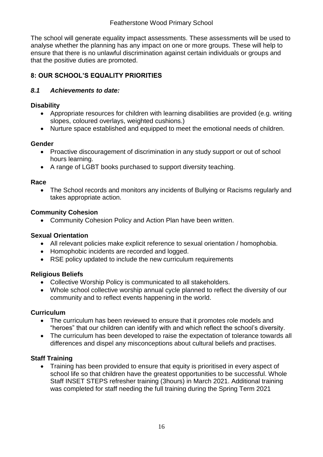# Featherstone Wood Primary School

The school will generate equality impact assessments. These assessments will be used to analyse whether the planning has any impact on one or more groups. These will help to ensure that there is no unlawful discrimination against certain individuals or groups and that the positive duties are promoted.

# **8: OUR SCHOOL'S EQUALITY PRIORITIES**

# *8.1 Achievements to date:*

# **Disability**

- Appropriate resources for children with learning disabilities are provided (e.g. writing slopes, coloured overlays, weighted cushions.)
- Nurture space established and equipped to meet the emotional needs of children.

#### **Gender**

- Proactive discouragement of discrimination in any study support or out of school hours learning.
- A range of LGBT books purchased to support diversity teaching.

#### **Race**

• The School records and monitors any incidents of Bullying or Racisms regularly and takes appropriate action.

# **Community Cohesion**

Community Cohesion Policy and Action Plan have been written.

# **Sexual Orientation**

- All relevant policies make explicit reference to sexual orientation / homophobia.
- Homophobic incidents are recorded and logged.
- RSE policy updated to include the new curriculum requirements

# **Religious Beliefs**

- Collective Worship Policy is communicated to all stakeholders.
- Whole school collective worship annual cycle planned to reflect the diversity of our community and to reflect events happening in the world.

# **Curriculum**

- The curriculum has been reviewed to ensure that it promotes role models and "heroes" that our children can identify with and which reflect the school's diversity.
- The curriculum has been developed to raise the expectation of tolerance towards all differences and dispel any misconceptions about cultural beliefs and practises.

# **Staff Training**

 Training has been provided to ensure that equity is prioritised in every aspect of school life so that children have the greatest opportunities to be successful. Whole Staff INSET STEPS refresher training (3hours) in March 2021. Additional training was completed for staff needing the full training during the Spring Term 2021